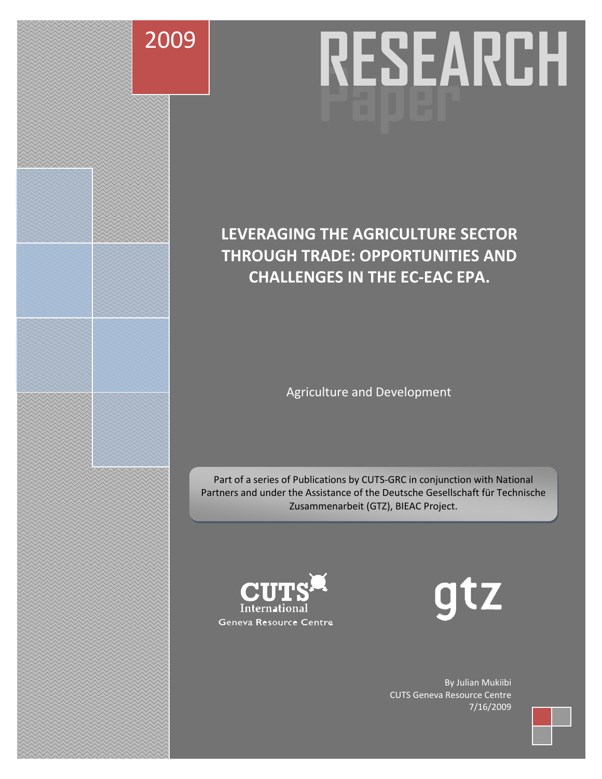

# **Paper RESEARCH**

# **LEVERAGING THE AGRICULTURE SECTOR THROUGH TRADE: OPPORTUNITIES AND CHALLENGES IN THE EC-EAC EPA.**

Agriculture and Development

Part of a series of Publications by CUTS-GRC in conjunction with National Partners and under the Assistance of the Deutsche Gesellschaft für Technische Zusammenarbeit (GTZ), BIEAC Project.



gtz

By Julian Mukiibi CUTS Geneva Resource Centre 7/16/2009

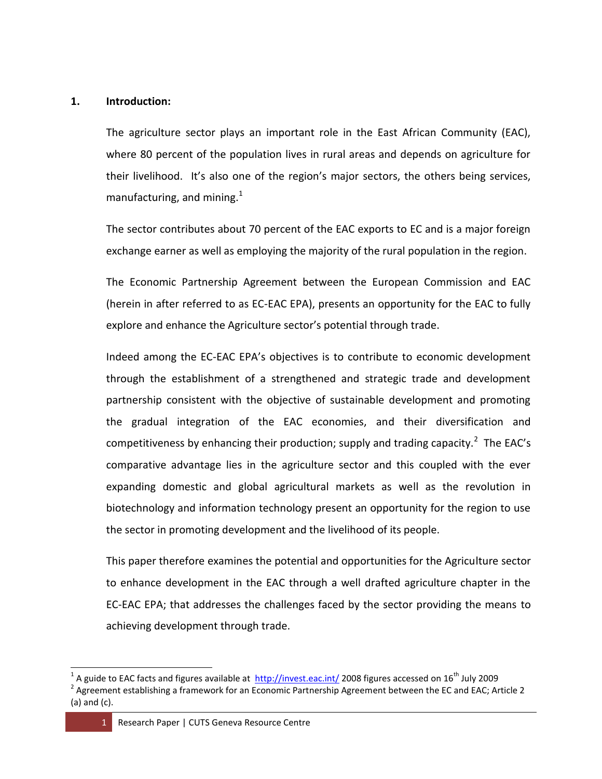#### **1. Introduction:**

The agriculture sector plays an important role in the East African Community (EAC), where 80 percent of the population lives in rural areas and depends on agriculture for their livelihood. It's also one of the region's major sectors, the others being services, manufacturing, and mining. $1$ 

The sector contributes about 70 percent of the EAC exports to EC and is a major foreign exchange earner as well as employing the majority of the rural population in the region.

The Economic Partnership Agreement between the European Commission and EAC (herein in after referred to as EC-EAC EPA), presents an opportunity for the EAC to fully explore and enhance the Agriculture sector's potential through trade.

Indeed among the EC-EAC EPA's objectives is to contribute to economic development through the establishment of a strengthened and strategic trade and development partnership consistent with the objective of sustainable development and promoting the gradual integration of the EAC economies, and their diversification and competitiveness by enhancing their production; supply and trading capacity.<sup>2</sup> The EAC's comparative advantage lies in the agriculture sector and this coupled with the ever expanding domestic and global agricultural markets as well as the revolution in biotechnology and information technology present an opportunity for the region to use the sector in promoting development and the livelihood of its people.

This paper therefore examines the potential and opportunities for the Agriculture sector to enhance development in the EAC through a well drafted agriculture chapter in the EC-EAC EPA; that addresses the challenges faced by the sector providing the means to achieving development through trade.

<sup>&</sup>lt;sup>1</sup> A guide to EAC facts and figures available at  $\frac{http://invest.eac.int/2008}{http://invest.ec.int/2008}$  $\frac{http://invest.eac.int/2008}{http://invest.ec.int/2008}$  $\frac{http://invest.eac.int/2008}{http://invest.ec.int/2008}$  figures accessed on 16<sup>th</sup> July 2009

<sup>&</sup>lt;sup>2</sup> Agreement establishing a framework for an Economic Partnership Agreement between the EC and EAC; Article 2 (a) and (c).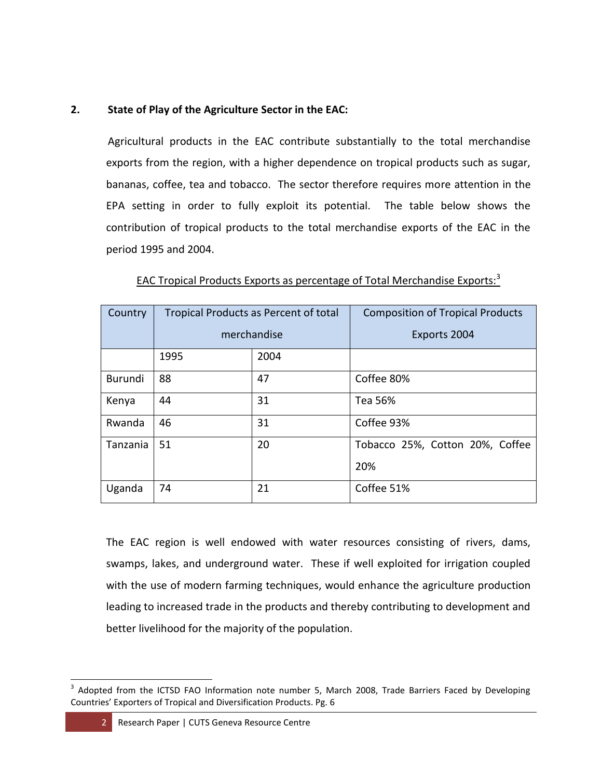# **2. State of Play of the Agriculture Sector in the EAC:**

Agricultural products in the EAC contribute substantially to the total merchandise exports from the region, with a higher dependence on tropical products such as sugar, bananas, coffee, tea and tobacco. The sector therefore requires more attention in the EPA setting in order to fully exploit its potential. The table below shows the contribution of tropical products to the total merchandise exports of the EAC in the period 1995 and 2004.

| Country  | Tropical Products as Percent of total |      | <b>Composition of Tropical Products</b> |
|----------|---------------------------------------|------|-----------------------------------------|
|          | merchandise                           |      | Exports 2004                            |
|          | 1995                                  | 2004 |                                         |
| Burundi  | 88                                    | 47   | Coffee 80%                              |
| Kenya    | 44                                    | 31   | Tea 56%                                 |
| Rwanda   | 46                                    | 31   | Coffee 93%                              |
| Tanzania | 51                                    | 20   | Tobacco 25%, Cotton 20%, Coffee         |
|          |                                       |      | 20%                                     |
| Uganda   | 74                                    | 21   | Coffee 51%                              |

EAC Tropical Products Exports as percentage of Total Merchandise Exports:<sup>3</sup>

The EAC region is well endowed with water resources consisting of rivers, dams, swamps, lakes, and underground water. These if well exploited for irrigation coupled with the use of modern farming techniques, would enhance the agriculture production leading to increased trade in the products and thereby contributing to development and better livelihood for the majority of the population.

 $\overline{a}$ <sup>3</sup> Adopted from the ICTSD FAO Information note number 5, March 2008, Trade Barriers Faced by Developing Countries' Exporters of Tropical and Diversification Products. Pg. 6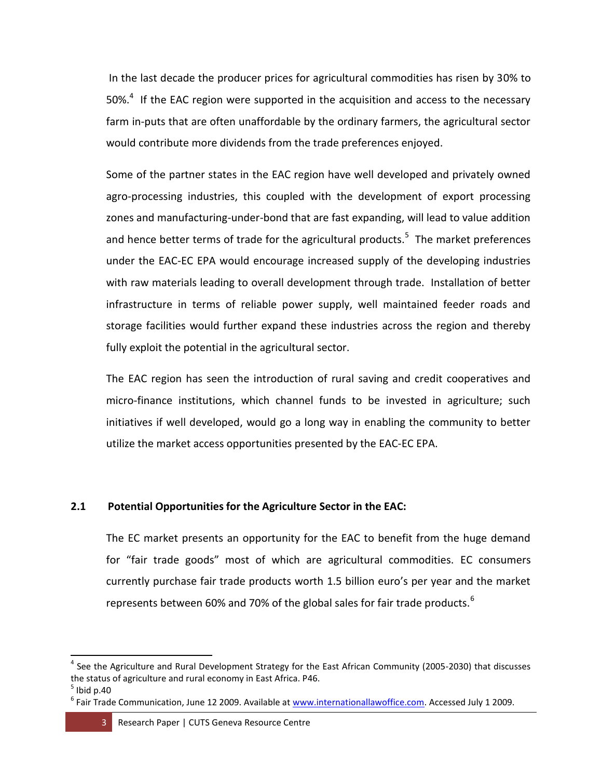In the last decade the producer prices for agricultural commodities has risen by 30% to 50%. $4$  If the EAC region were supported in the acquisition and access to the necessary farm in-puts that are often unaffordable by the ordinary farmers, the agricultural sector would contribute more dividends from the trade preferences enjoyed.

Some of the partner states in the EAC region have well developed and privately owned agro-processing industries, this coupled with the development of export processing zones and manufacturing-under-bond that are fast expanding, will lead to value addition and hence better terms of trade for the agricultural products.<sup>5</sup> The market preferences under the EAC-EC EPA would encourage increased supply of the developing industries with raw materials leading to overall development through trade. Installation of better infrastructure in terms of reliable power supply, well maintained feeder roads and storage facilities would further expand these industries across the region and thereby fully exploit the potential in the agricultural sector.

The EAC region has seen the introduction of rural saving and credit cooperatives and micro-finance institutions, which channel funds to be invested in agriculture; such initiatives if well developed, would go a long way in enabling the community to better utilize the market access opportunities presented by the EAC-EC EPA.

# **2.1 Potential Opportunities for the Agriculture Sector in the EAC:**

The EC market presents an opportunity for the EAC to benefit from the huge demand for "fair trade goods" most of which are agricultural commodities. EC consumers currently purchase fair trade products worth 1.5 billion euro's per year and the market represents between 60% and 70% of the global sales for fair trade products. $^6$ 

<sup>&</sup>lt;sup>4</sup> See the Agriculture and Rural Development Strategy for the East African Community (2005-2030) that discusses the status of agriculture and rural economy in East Africa. P46.

 $^5$  Ibid p.40

<sup>&</sup>lt;sup>6</sup> Fair Trade Communication, June 12 2009. Available at [www.internationallawoffice.com.](http://www.internationallawoffice.com/) Accessed July 1 2009.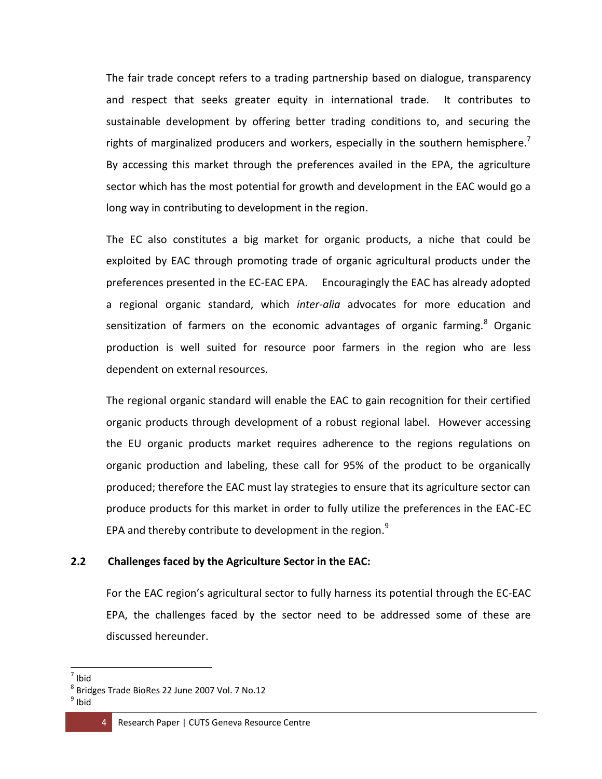The fair trade concept refers to a trading partnership based on dialogue, transparency and respect that seeks greater equity in international trade. It contributes to sustainable development by offering better trading conditions to, and securing the rights of marginalized producers and workers, especially in the southern hemisphere.<sup>7</sup> By accessing this market through the preferences availed in the EPA, the agriculture sector which has the most potential for growth and development in the EAC would go a long way in contributing to development in the region.

The EC also constitutes a big market for organic products, a niche that could be exploited by EAC through promoting trade of organic agricultural products under the preferences presented in the EC-EAC EPA. Encouragingly the EAC has already adopted a regional organic standard, which *inter-alia* advocates for more education and sensitization of farmers on the economic advantages of organic farming.<sup>8</sup> Organic production is well suited for resource poor farmers in the region who are less dependent on external resources.

The regional organic standard will enable the EAC to gain recognition for their certified organic products through development of a robust regional label. However accessing the EU organic products market requires adherence to the regions regulations on organic production and labeling, these call for 95% of the product to be organically produced; therefore the EAC must lay strategies to ensure that its agriculture sector can produce products for this market in order to fully utilize the preferences in the EAC-EC EPA and thereby contribute to development in the region. $9$ 

### **2.2 Challenges faced by the Agriculture Sector in the EAC:**

For the EAC region's agricultural sector to fully harness its potential through the EC-EAC EPA, the challenges faced by the sector need to be addressed some of these are discussed hereunder.

 7 Ibid

<sup>8</sup> Bridges Trade BioRes 22 June 2007 Vol. 7 No.12

<sup>&</sup>lt;sup>9</sup> Ibid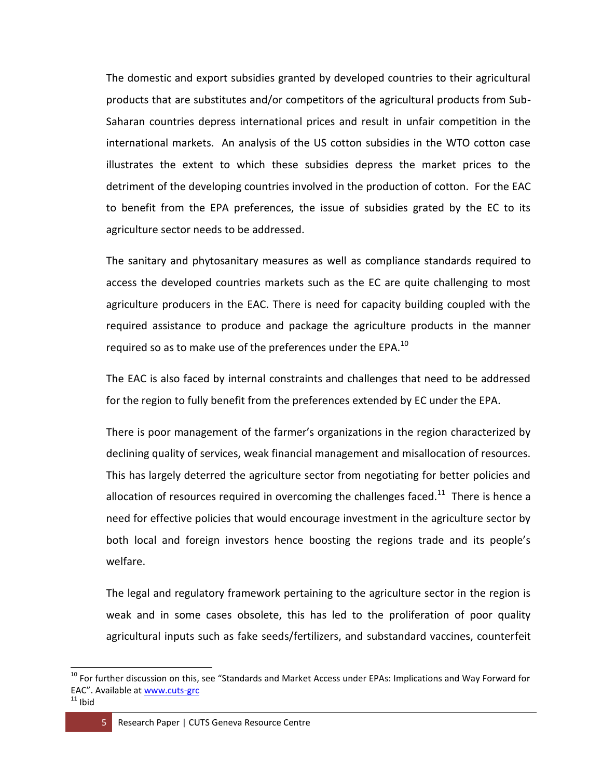The domestic and export subsidies granted by developed countries to their agricultural products that are substitutes and/or competitors of the agricultural products from Sub-Saharan countries depress international prices and result in unfair competition in the international markets. An analysis of the US cotton subsidies in the WTO cotton case illustrates the extent to which these subsidies depress the market prices to the detriment of the developing countries involved in the production of cotton. For the EAC to benefit from the EPA preferences, the issue of subsidies grated by the EC to its agriculture sector needs to be addressed.

The sanitary and phytosanitary measures as well as compliance standards required to access the developed countries markets such as the EC are quite challenging to most agriculture producers in the EAC. There is need for capacity building coupled with the required assistance to produce and package the agriculture products in the manner required so as to make use of the preferences under the EPA.<sup>10</sup>

The EAC is also faced by internal constraints and challenges that need to be addressed for the region to fully benefit from the preferences extended by EC under the EPA.

There is poor management of the farmer's organizations in the region characterized by declining quality of services, weak financial management and misallocation of resources. This has largely deterred the agriculture sector from negotiating for better policies and allocation of resources required in overcoming the challenges faced.<sup>11</sup> There is hence a need for effective policies that would encourage investment in the agriculture sector by both local and foreign investors hence boosting the regions trade and its people's welfare.

The legal and regulatory framework pertaining to the agriculture sector in the region is weak and in some cases obsolete, this has led to the proliferation of poor quality agricultural inputs such as fake seeds/fertilizers, and substandard vaccines, counterfeit

<sup>&</sup>lt;sup>10</sup> For further discussion on this, see "Standards and Market Access under EPAs: Implications and Way Forward for EAC". Available at [www.cuts-grc](http://www.cuts-grc/)

 $11$  Ibid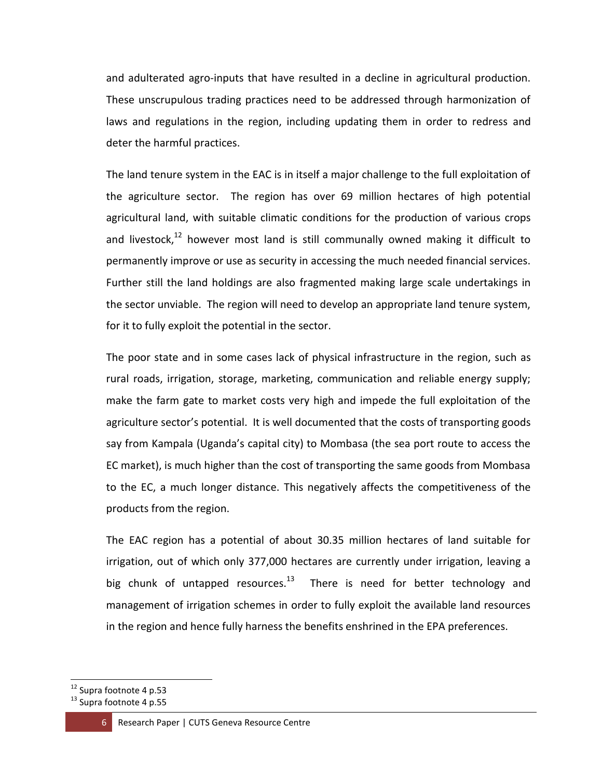and adulterated agro-inputs that have resulted in a decline in agricultural production. These unscrupulous trading practices need to be addressed through harmonization of laws and regulations in the region, including updating them in order to redress and deter the harmful practices.

The land tenure system in the EAC is in itself a major challenge to the full exploitation of the agriculture sector. The region has over 69 million hectares of high potential agricultural land, with suitable climatic conditions for the production of various crops and livestock, $12$  however most land is still communally owned making it difficult to permanently improve or use as security in accessing the much needed financial services. Further still the land holdings are also fragmented making large scale undertakings in the sector unviable. The region will need to develop an appropriate land tenure system, for it to fully exploit the potential in the sector.

The poor state and in some cases lack of physical infrastructure in the region, such as rural roads, irrigation, storage, marketing, communication and reliable energy supply; make the farm gate to market costs very high and impede the full exploitation of the agriculture sector's potential. It is well documented that the costs of transporting goods say from Kampala (Uganda's capital city) to Mombasa (the sea port route to access the EC market), is much higher than the cost of transporting the same goods from Mombasa to the EC, a much longer distance. This negatively affects the competitiveness of the products from the region.

The EAC region has a potential of about 30.35 million hectares of land suitable for irrigation, out of which only 377,000 hectares are currently under irrigation, leaving a big chunk of untapped resources.<sup>13</sup> There is need for better technology and management of irrigation schemes in order to fully exploit the available land resources in the region and hence fully harness the benefits enshrined in the EPA preferences.

<sup>&</sup>lt;sup>12</sup> Supra footnote 4 p.53

<sup>&</sup>lt;sup>13</sup> Supra footnote 4 p.55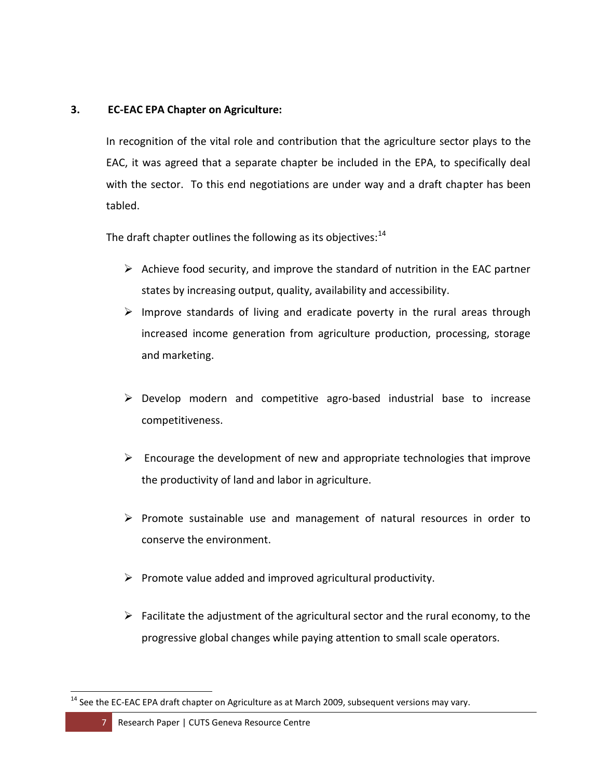## **3. EC-EAC EPA Chapter on Agriculture:**

In recognition of the vital role and contribution that the agriculture sector plays to the EAC, it was agreed that a separate chapter be included in the EPA, to specifically deal with the sector. To this end negotiations are under way and a draft chapter has been tabled.

The draft chapter outlines the following as its objectives: $^{14}$ 

- $\triangleright$  Achieve food security, and improve the standard of nutrition in the EAC partner states by increasing output, quality, availability and accessibility.
- $\triangleright$  Improve standards of living and eradicate poverty in the rural areas through increased income generation from agriculture production, processing, storage and marketing.
- $\triangleright$  Develop modern and competitive agro-based industrial base to increase competitiveness.
- $\triangleright$  Encourage the development of new and appropriate technologies that improve the productivity of land and labor in agriculture.
- $\triangleright$  Promote sustainable use and management of natural resources in order to conserve the environment.
- $\triangleright$  Promote value added and improved agricultural productivity.
- $\triangleright$  Facilitate the adjustment of the agricultural sector and the rural economy, to the progressive global changes while paying attention to small scale operators.

 $\overline{a}$  $14$  See the EC-EAC EPA draft chapter on Agriculture as at March 2009, subsequent versions may vary.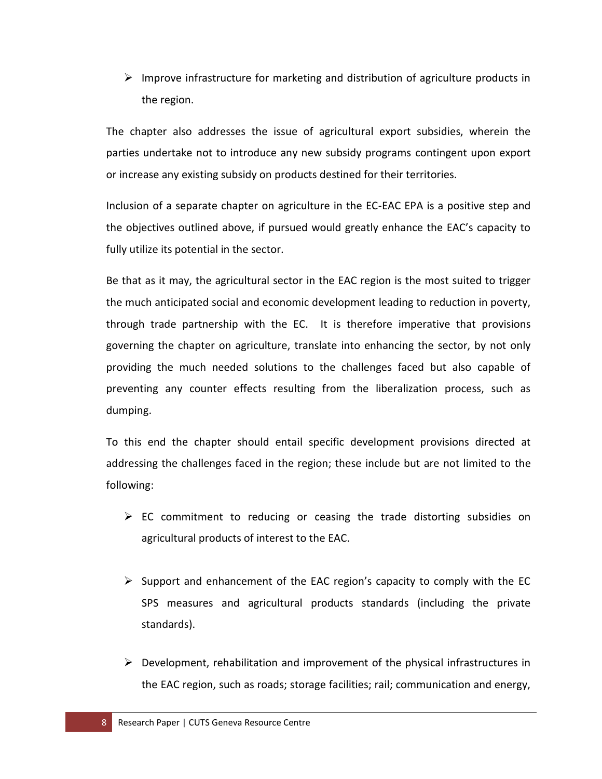$\triangleright$  Improve infrastructure for marketing and distribution of agriculture products in the region.

The chapter also addresses the issue of agricultural export subsidies, wherein the parties undertake not to introduce any new subsidy programs contingent upon export or increase any existing subsidy on products destined for their territories.

Inclusion of a separate chapter on agriculture in the EC-EAC EPA is a positive step and the objectives outlined above, if pursued would greatly enhance the EAC's capacity to fully utilize its potential in the sector.

Be that as it may, the agricultural sector in the EAC region is the most suited to trigger the much anticipated social and economic development leading to reduction in poverty, through trade partnership with the EC. It is therefore imperative that provisions governing the chapter on agriculture, translate into enhancing the sector, by not only providing the much needed solutions to the challenges faced but also capable of preventing any counter effects resulting from the liberalization process, such as dumping.

To this end the chapter should entail specific development provisions directed at addressing the challenges faced in the region; these include but are not limited to the following:

- $\triangleright$  EC commitment to reducing or ceasing the trade distorting subsidies on agricultural products of interest to the EAC.
- $\triangleright$  Support and enhancement of the EAC region's capacity to comply with the EC SPS measures and agricultural products standards (including the private standards).
- $\triangleright$  Development, rehabilitation and improvement of the physical infrastructures in the EAC region, such as roads; storage facilities; rail; communication and energy,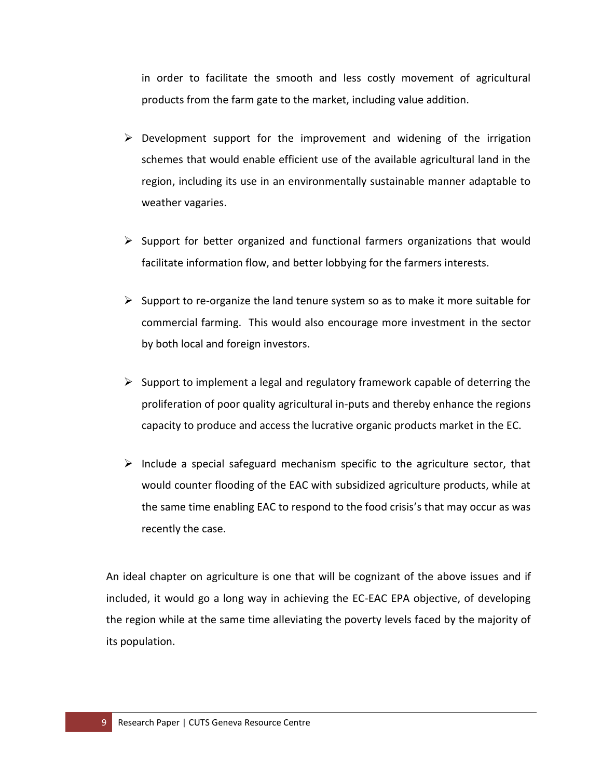in order to facilitate the smooth and less costly movement of agricultural products from the farm gate to the market, including value addition.

- $\triangleright$  Development support for the improvement and widening of the irrigation schemes that would enable efficient use of the available agricultural land in the region, including its use in an environmentally sustainable manner adaptable to weather vagaries.
- $\triangleright$  Support for better organized and functional farmers organizations that would facilitate information flow, and better lobbying for the farmers interests.
- $\triangleright$  Support to re-organize the land tenure system so as to make it more suitable for commercial farming. This would also encourage more investment in the sector by both local and foreign investors.
- $\triangleright$  Support to implement a legal and regulatory framework capable of deterring the proliferation of poor quality agricultural in-puts and thereby enhance the regions capacity to produce and access the lucrative organic products market in the EC.
- $\triangleright$  Include a special safeguard mechanism specific to the agriculture sector, that would counter flooding of the EAC with subsidized agriculture products, while at the same time enabling EAC to respond to the food crisis's that may occur as was recently the case.

An ideal chapter on agriculture is one that will be cognizant of the above issues and if included, it would go a long way in achieving the EC-EAC EPA objective, of developing the region while at the same time alleviating the poverty levels faced by the majority of its population.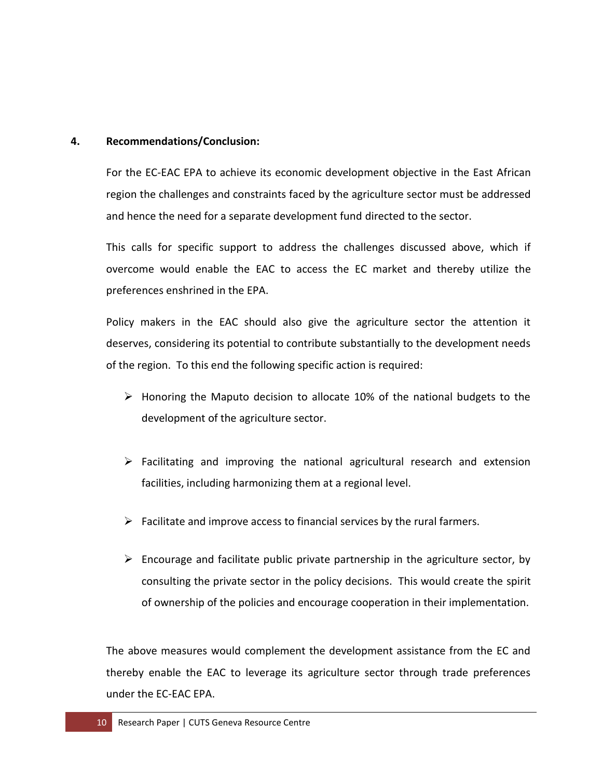#### **4. Recommendations/Conclusion:**

For the EC-EAC EPA to achieve its economic development objective in the East African region the challenges and constraints faced by the agriculture sector must be addressed and hence the need for a separate development fund directed to the sector.

This calls for specific support to address the challenges discussed above, which if overcome would enable the EAC to access the EC market and thereby utilize the preferences enshrined in the EPA.

Policy makers in the EAC should also give the agriculture sector the attention it deserves, considering its potential to contribute substantially to the development needs of the region. To this end the following specific action is required:

- $\triangleright$  Honoring the Maputo decision to allocate 10% of the national budgets to the development of the agriculture sector.
- $\triangleright$  Facilitating and improving the national agricultural research and extension facilities, including harmonizing them at a regional level.
- $\triangleright$  Facilitate and improve access to financial services by the rural farmers.
- $\triangleright$  Encourage and facilitate public private partnership in the agriculture sector, by consulting the private sector in the policy decisions. This would create the spirit of ownership of the policies and encourage cooperation in their implementation.

The above measures would complement the development assistance from the EC and thereby enable the EAC to leverage its agriculture sector through trade preferences under the EC-EAC EPA.